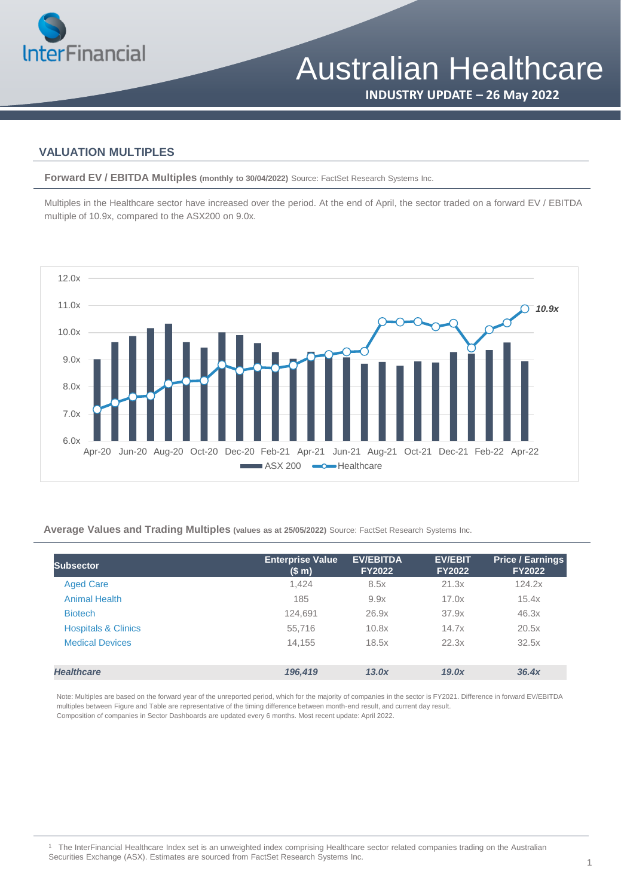

**INDUSTRY UPDATE – 26 May 2022**

#### **VALUATION MULTIPLES**

**Forward EV / EBITDA Multiples (monthly to 30/04/2022)** Source: FactSet Research Systems Inc.

Multiples in the Healthcare sector have increased over the period. At the end of April, the sector traded on a forward EV / EBITDA multiple of 10.9x, compared to the ASX200 on 9.0x.



**Average Values and Trading Multiples (values as at 25/05/2022)** Source: FactSet Research Systems Inc.

| <b>Subsector</b>               | <b>Enterprise Value</b><br>(S <sub>m</sub> ) | <b>EV/EBITDA</b><br><b>FY2022</b> | <b>EV/EBIT</b><br><b>FY2022</b> | <b>Price / Earnings</b><br><b>FY2022</b> |
|--------------------------------|----------------------------------------------|-----------------------------------|---------------------------------|------------------------------------------|
| <b>Aged Care</b>               | 1,424                                        | 8.5x                              | 21.3x                           | 124.2x                                   |
| <b>Animal Health</b>           | 185                                          | 9.9x                              | 17.0x                           | 15.4x                                    |
| <b>Biotech</b>                 | 124.691                                      | 26.9x                             | 37.9x                           | 46.3x                                    |
| <b>Hospitals &amp; Clinics</b> | 55.716                                       | 10.8x                             | 14.7x                           | 20.5x                                    |
| <b>Medical Devices</b>         | 14.155                                       | 18.5x                             | 22.3x                           | 32.5x                                    |
| <b>Healthcare</b>              | 196,419                                      | 13.0x                             | 19.0x                           | 36.4x                                    |

Note: Multiples are based on the forward year of the unreported period, which for the majority of companies in the sector is FY2021. Difference in forward EV/EBITDA multiples between Figure and Table are representative of the timing difference between month-end result, and current day result. Composition of companies in Sector Dashboards are updated every 6 months. Most recent update: April 2022.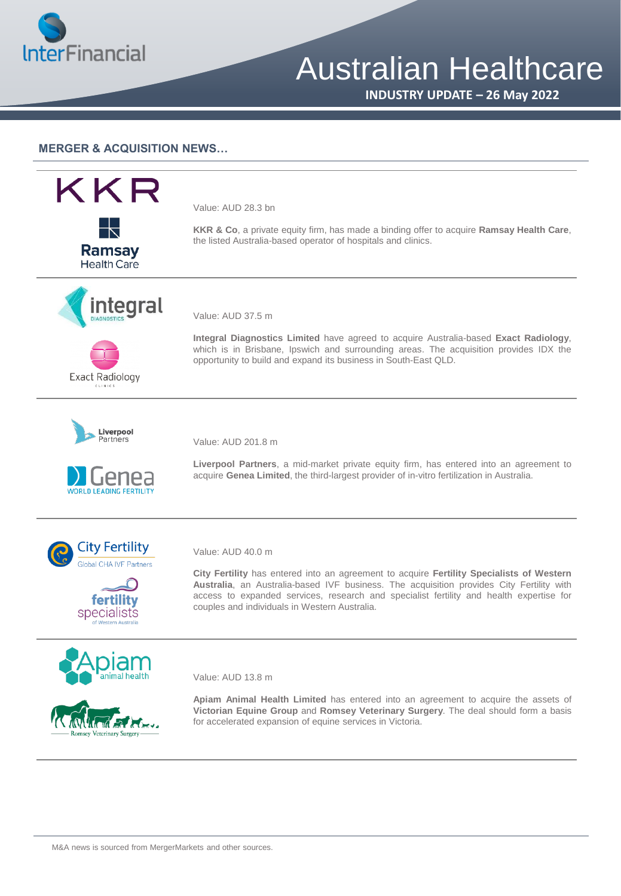

## Australian Healthcare

**INDUSTRY UPDATE – 26 May 2022**

#### **MERGER & ACQUISITION NEWS…**



Value: AUD 28.3 bn

**KKR & Co**, a private equity firm, has made a binding offer to acquire **Ramsay Health Care**, the listed Australia-based operator of hospitals and clinics.





Value: AUD 37.5 m

**Integral Diagnostics Limited** have agreed to acquire Australia-based **Exact Radiology**, which is in Brisbane, Ipswich and surrounding areas. The acquisition provides IDX the opportunity to build and expand its business in South-East QLD.





Value: AUD 201.8 m

**Liverpool Partners**, a mid-market private equity firm, has entered into an agreement to acquire **Genea Limited**, the third-largest provider of in-vitro fertilization in Australia.









Value: AUD 40.0 m

**City Fertility** has entered into an agreement to acquire **Fertility Specialists of Western Australia**, an Australia-based IVF business. The acquisition provides City Fertility with access to expanded services, research and specialist fertility and health expertise for couples and individuals in Western Australia.

Value: AUD 13.8 m

**Apiam Animal Health Limited** has entered into an agreement to acquire the assets of **Victorian Equine Group** and **Romsey Veterinary Surgery**. The deal should form a basis for accelerated expansion of equine services in Victoria.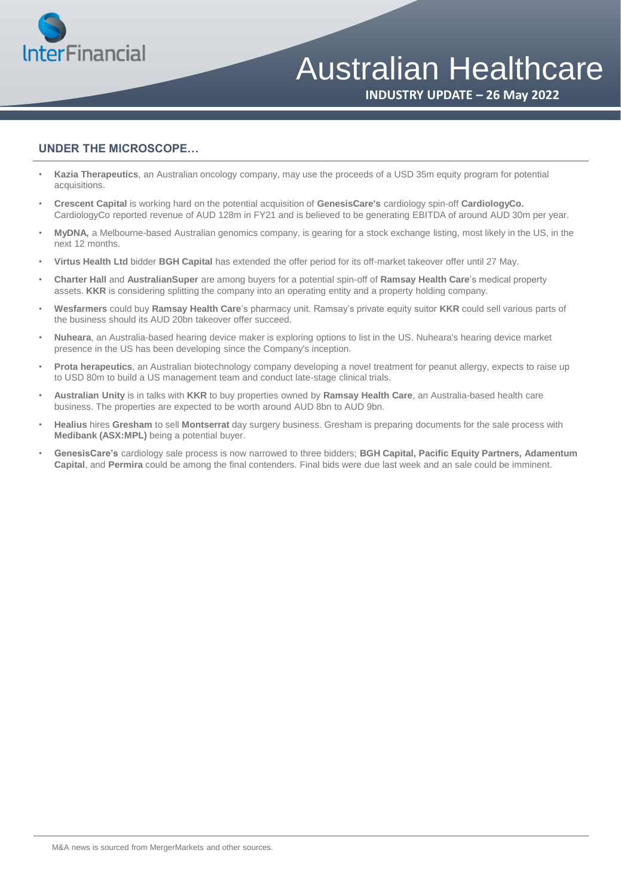

## Australian Healthcare

**INDUSTRY UPDATE – 26 May 2022**

### **UNDER THE MICROSCOPE…**

- **Kazia Therapeutics**, an Australian oncology company, may use the proceeds of a USD 35m equity program for potential acquisitions.
- **Crescent Capital** is working hard on the potential acquisition of **GenesisCare's** cardiology spin-off **CardiologyCo.**  CardiologyCo reported revenue of AUD 128m in FY21 and is believed to be generating EBITDA of around AUD 30m per year.
- **MyDNA,** a Melbourne-based Australian genomics company, is gearing for a stock exchange listing, most likely in the US, in the next 12 months.
- **Virtus Health Ltd** bidder **BGH Capital** has extended the offer period for its off-market takeover offer until 27 May.
- **Charter Hall** and **AustralianSuper** are among buyers for a potential spin-off of **Ramsay Health Care**'s medical property assets. **KKR** is considering splitting the company into an operating entity and a property holding company.
- **Wesfarmers** could buy **Ramsay Health Care**'s pharmacy unit. Ramsay's private equity suitor **KKR** could sell various parts of the business should its AUD 20bn takeover offer succeed.
- **Nuheara**, an Australia-based hearing device maker is exploring options to list in the US. Nuheara's hearing device market presence in the US has been developing since the Company's inception.
- **Prota herapeutics**, an Australian biotechnology company developing a novel treatment for peanut allergy, expects to raise up to USD 80m to build a US management team and conduct late-stage clinical trials.
- **Australian Unity** is in talks with **KKR** to buy properties owned by **Ramsay Health Care**, an Australia-based health care business. The properties are expected to be worth around AUD 8bn to AUD 9bn.
- **Healius** hires **Gresham** to sell **Montserrat** day surgery business. Gresham is preparing documents for the sale process with **Medibank (ASX:MPL)** being a potential buyer.
- **GenesisCare's** cardiology sale process is now narrowed to three bidders; **BGH Capital, Pacific Equity Partners, Adamentum Capital**, and **Permira** could be among the final contenders. Final bids were due last week and an sale could be imminent.